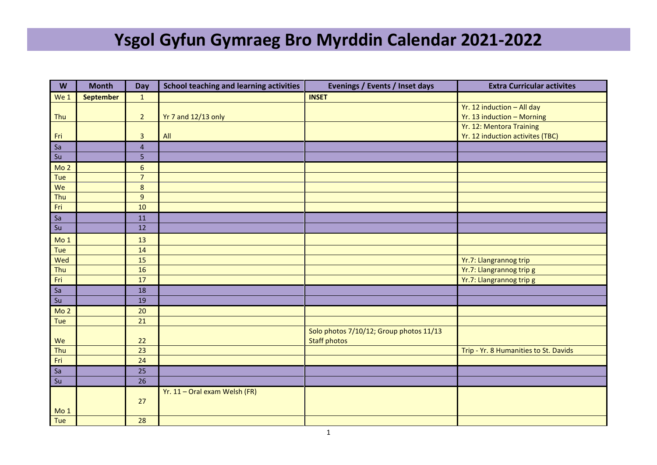## **Ysgol Gyfun Gymraeg Bro Myrddin Calendar 2021-2022**

| W                                 | <b>Month</b>     | Day            | <b>School teaching and learning activities</b> | Evenings / Events / Inset days          | <b>Extra Curricular activites</b>     |
|-----------------------------------|------------------|----------------|------------------------------------------------|-----------------------------------------|---------------------------------------|
| We 1                              | <b>September</b> | $\mathbf{1}$   |                                                | <b>INSET</b>                            |                                       |
|                                   |                  |                |                                                |                                         | Yr. 12 induction - All day            |
| Thu                               |                  | $\overline{2}$ | Yr 7 and 12/13 only                            |                                         | Yr. 13 induction - Morning            |
|                                   |                  |                |                                                |                                         | Yr. 12: Mentora Training              |
| Fri                               |                  | $\overline{3}$ | All                                            |                                         | Yr. 12 induction activites (TBC)      |
| Sa                                |                  | $\overline{4}$ |                                                |                                         |                                       |
| Su                                |                  | 5 <sub>5</sub> |                                                |                                         |                                       |
| Mo <sub>2</sub>                   |                  | $6\phantom{a}$ |                                                |                                         |                                       |
| Tue                               |                  | $\overline{7}$ |                                                |                                         |                                       |
| We                                |                  | $\bf 8$        |                                                |                                         |                                       |
| Thu                               |                  | $\overline{9}$ |                                                |                                         |                                       |
| Fri                               |                  | 10             |                                                |                                         |                                       |
| Sa                                |                  | 11             |                                                |                                         |                                       |
| $\overline{\mathsf{S}\mathsf{u}}$ |                  | 12             |                                                |                                         |                                       |
| Mo <sub>1</sub>                   |                  | 13             |                                                |                                         |                                       |
| Tue                               |                  | 14             |                                                |                                         |                                       |
| Wed                               |                  | 15             |                                                |                                         | Yr.7: Llangrannog trip                |
| Thu                               |                  | 16             |                                                |                                         | Yr.7: Llangrannog trip g              |
| Fri                               |                  | 17             |                                                |                                         | Yr.7: Llangrannog trip g              |
| Sa                                |                  | 18             |                                                |                                         |                                       |
| Su                                |                  | 19             |                                                |                                         |                                       |
| Mo <sub>2</sub>                   |                  | 20             |                                                |                                         |                                       |
| Tue                               |                  | 21             |                                                |                                         |                                       |
|                                   |                  |                |                                                | Solo photos 7/10/12; Group photos 11/13 |                                       |
| We                                |                  | 22             |                                                | <b>Staff photos</b>                     |                                       |
| Thu                               |                  | 23             |                                                |                                         | Trip - Yr. 8 Humanities to St. Davids |
| Fri                               |                  | 24             |                                                |                                         |                                       |
| Sa                                |                  | 25             |                                                |                                         |                                       |
| Su                                |                  | 26             |                                                |                                         |                                       |
|                                   |                  |                | Yr. 11 - Oral exam Welsh (FR)                  |                                         |                                       |
|                                   |                  | 27             |                                                |                                         |                                       |
| Mo <sub>1</sub>                   |                  |                |                                                |                                         |                                       |
| Tue                               |                  | 28             |                                                |                                         |                                       |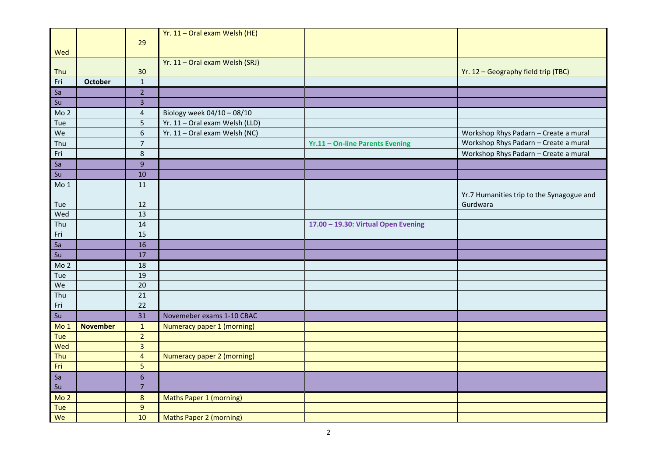|                 |                 | 29              | Yr. 11 - Oral exam Welsh (HE)  |                                        |                                           |
|-----------------|-----------------|-----------------|--------------------------------|----------------------------------------|-------------------------------------------|
| Wed             |                 |                 |                                |                                        |                                           |
|                 |                 |                 | Yr. 11 - Oral exam Welsh (SRJ) |                                        |                                           |
| Thu             |                 | 30              |                                |                                        | Yr. 12 - Geography field trip (TBC)       |
| Fri             | <b>October</b>  | $\,1\,$         |                                |                                        |                                           |
| Sa              |                 | $\overline{2}$  |                                |                                        |                                           |
| Su              |                 | $\overline{3}$  |                                |                                        |                                           |
| Mo <sub>2</sub> |                 | $\sqrt{4}$      | Biology week 04/10 - 08/10     |                                        |                                           |
| Tue             |                 | 5               | Yr. 11 - Oral exam Welsh (LLD) |                                        |                                           |
| We              |                 | $\overline{6}$  | Yr. 11 - Oral exam Welsh (NC)  |                                        | Workshop Rhys Padarn - Create a mural     |
| Thu             |                 | $\overline{7}$  |                                | <b>Yr.11 - On-line Parents Evening</b> | Workshop Rhys Padarn - Create a mural     |
| Fri             |                 | $\,8\,$         |                                |                                        | Workshop Rhys Padarn - Create a mural     |
| Sa              |                 | $\overline{9}$  |                                |                                        |                                           |
| Su              |                 | 10              |                                |                                        |                                           |
| Mo <sub>1</sub> |                 | 11              |                                |                                        |                                           |
|                 |                 |                 |                                |                                        | Yr.7 Humanities trip to the Synagogue and |
| Tue             |                 | 12              |                                |                                        | Gurdwara                                  |
| Wed             |                 | 13              |                                |                                        |                                           |
| Thu             |                 | 14              |                                | 17.00 - 19.30: Virtual Open Evening    |                                           |
| Fri             |                 | 15              |                                |                                        |                                           |
| Sa              |                 | 16              |                                |                                        |                                           |
| Su              |                 | 17              |                                |                                        |                                           |
| Mo <sub>2</sub> |                 | 18              |                                |                                        |                                           |
| Tue             |                 | 19              |                                |                                        |                                           |
| We              |                 | 20              |                                |                                        |                                           |
| Thu             |                 | $\overline{21}$ |                                |                                        |                                           |
| Fri             |                 | 22              |                                |                                        |                                           |
| Su              |                 | 31              | Novemeber exams 1-10 CBAC      |                                        |                                           |
| Mo <sub>1</sub> | <b>November</b> | $\mathbf{1}$    | Numeracy paper 1 (morning)     |                                        |                                           |
| Tue             |                 | $\overline{2}$  |                                |                                        |                                           |
| Wed             |                 | $\overline{3}$  |                                |                                        |                                           |
| Thu             |                 | $\overline{4}$  | Numeracy paper 2 (morning)     |                                        |                                           |
| Fri             |                 | $\overline{5}$  |                                |                                        |                                           |
| Sa              |                 | $6\phantom{a}$  |                                |                                        |                                           |
| Su              |                 | $\overline{7}$  |                                |                                        |                                           |
| Mo <sub>2</sub> |                 | $\bf 8$         | <b>Maths Paper 1 (morning)</b> |                                        |                                           |
| Tue             |                 | $\overline{9}$  |                                |                                        |                                           |
| We              |                 | 10              | <b>Maths Paper 2 (morning)</b> |                                        |                                           |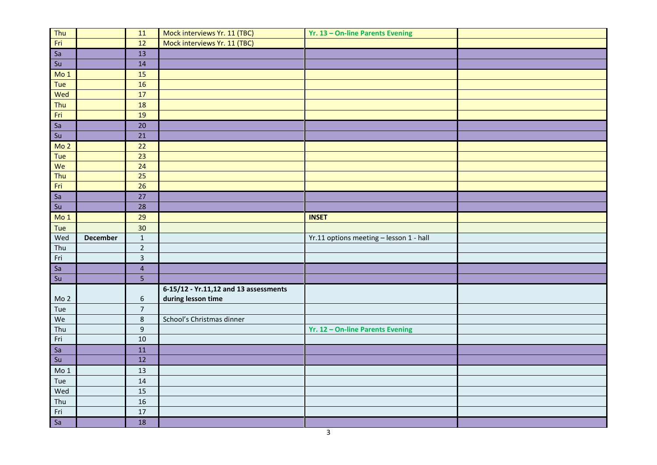|                                   |                 | 11                      | Mock interviews Yr. 11 (TBC)          | Yr. 13 - On-line Parents Evening        |  |
|-----------------------------------|-----------------|-------------------------|---------------------------------------|-----------------------------------------|--|
| Thu<br>Fri                        |                 | $\overline{12}$         | Mock interviews Yr. 11 (TBC)          |                                         |  |
| $\overline{Sa}$                   |                 | 13                      |                                       |                                         |  |
| $\overline{\mathsf{S}\mathsf{u}}$ |                 | 14                      |                                       |                                         |  |
| Mo <sub>1</sub>                   |                 | 15                      |                                       |                                         |  |
| Tue                               |                 | 16                      |                                       |                                         |  |
| Wed                               |                 | 17                      |                                       |                                         |  |
| Thu                               |                 | 18                      |                                       |                                         |  |
| Fri                               |                 | 19                      |                                       |                                         |  |
| I<br>5a                           |                 | $20\,$                  |                                       |                                         |  |
| Su                                |                 | 21                      |                                       |                                         |  |
| Mo <sub>2</sub>                   |                 | 22                      |                                       |                                         |  |
| Tue                               |                 | $\overline{23}$         |                                       |                                         |  |
| We                                |                 | 24                      |                                       |                                         |  |
| Thu                               |                 | $\overline{25}$         |                                       |                                         |  |
| Fri                               |                 | $\overline{26}$         |                                       |                                         |  |
| Sa                                |                 | 27                      |                                       |                                         |  |
| Su                                |                 | 28                      |                                       |                                         |  |
| Mo 1                              |                 | 29                      |                                       | <b>INSET</b>                            |  |
| Tue                               |                 | 30 <sub>o</sub>         |                                       |                                         |  |
| Wed                               | <b>December</b> | $\mathbf 1$             |                                       | Yr.11 options meeting - lesson 1 - hall |  |
| Thu                               |                 | $\mathbf 2$             |                                       |                                         |  |
| Fri                               |                 | $\overline{\mathbf{3}}$ |                                       |                                         |  |
| Sa                                |                 | $\overline{4}$          |                                       |                                         |  |
| Su                                |                 | $\overline{5}$          |                                       |                                         |  |
|                                   |                 |                         | 6-15/12 - Yr.11,12 and 13 assessments |                                         |  |
| Mo <sub>2</sub>                   |                 | $6\,$                   | during lesson time                    |                                         |  |
| Tue                               |                 | $\overline{7}$          |                                       |                                         |  |
| We                                |                 | $\,8\,$                 | School's Christmas dinner             |                                         |  |
| Thu                               |                 | $\boldsymbol{9}$        |                                       | Yr. 12 - On-line Parents Evening        |  |
| Fri                               |                 | 10                      |                                       |                                         |  |
| Sa                                |                 | 11                      |                                       |                                         |  |
| Su                                |                 | $\overline{12}$         |                                       |                                         |  |
| Mo 1                              |                 | 13                      |                                       |                                         |  |
| Tue                               |                 | 14                      |                                       |                                         |  |
| Wed                               |                 | 15                      |                                       |                                         |  |
| Thu                               |                 | 16                      |                                       |                                         |  |
| Fri                               |                 | 17                      |                                       |                                         |  |
| $\frac{1}{\text{Sa}}$             |                 | 18                      |                                       |                                         |  |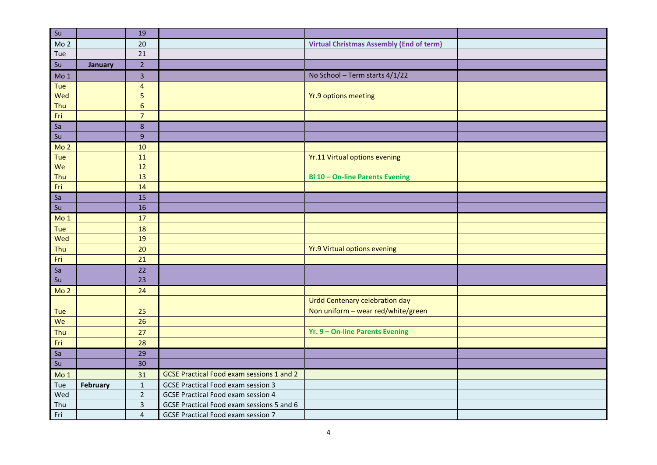| $\overline{\mathsf{S}\mathsf{u}}$ |          | 19                      |                                                  |                                                 |  |
|-----------------------------------|----------|-------------------------|--------------------------------------------------|-------------------------------------------------|--|
| Mo <sub>2</sub>                   |          | 20                      |                                                  | <b>Virtual Christmas Assembly (End of term)</b> |  |
| Tue                               |          | 21                      |                                                  |                                                 |  |
| Su                                | January  | $\overline{2}$          |                                                  |                                                 |  |
| Mo 1                              |          | $\overline{\mathbf{3}}$ |                                                  | No School - Term starts 4/1/22                  |  |
| Tue                               |          | $\overline{\mathbf{4}}$ |                                                  |                                                 |  |
| Wed                               |          | $\overline{5}$          |                                                  | <b>Yr.9 options meeting</b>                     |  |
| Thu                               |          | $\sqrt{6}$              |                                                  |                                                 |  |
| Fri                               |          | $\overline{7}$          |                                                  |                                                 |  |
| Sa                                |          | $\bf 8$                 |                                                  |                                                 |  |
| Su                                |          | $\overline{9}$          |                                                  |                                                 |  |
| Mo <sub>2</sub>                   |          | 10                      |                                                  |                                                 |  |
| Tue                               |          | 11                      |                                                  | Yr.11 Virtual options evening                   |  |
| We                                |          | 12                      |                                                  |                                                 |  |
| Thu                               |          | 13                      |                                                  | <b>Bl 10 - On-line Parents Evening</b>          |  |
| Fri                               |          | 14                      |                                                  |                                                 |  |
| Sa                                |          | 15                      |                                                  |                                                 |  |
| Su                                |          | 16                      |                                                  |                                                 |  |
| Mo <sub>1</sub>                   |          | 17                      |                                                  |                                                 |  |
| Tue                               |          | 18                      |                                                  |                                                 |  |
| Wed                               |          | 19                      |                                                  |                                                 |  |
| Thu                               |          | 20                      |                                                  | <b>Yr.9 Virtual options evening</b>             |  |
| Fri                               |          | 21                      |                                                  |                                                 |  |
| Sa                                |          | 22                      |                                                  |                                                 |  |
| Su                                |          | 23                      |                                                  |                                                 |  |
| Mo <sub>2</sub>                   |          | 24                      |                                                  |                                                 |  |
|                                   |          |                         |                                                  | <b>Urdd Centenary celebration day</b>           |  |
| Tue                               |          | 25                      |                                                  | Non uniform - wear red/white/green              |  |
| We                                |          | $\overline{26}$         |                                                  |                                                 |  |
| Thu                               |          | 27                      |                                                  | Yr. 9 - On-line Parents Evening                 |  |
| Fri                               |          | 28                      |                                                  |                                                 |  |
| Sa                                |          | 29                      |                                                  |                                                 |  |
| Su                                |          | 30                      |                                                  |                                                 |  |
| Mo <sub>1</sub>                   |          | 31                      | <b>GCSE Practical Food exam sessions 1 and 2</b> |                                                 |  |
| Tue                               | February | $\mathbf 1$             | <b>GCSE Practical Food exam session 3</b>        |                                                 |  |
| Wed                               |          | $\overline{2}$          | <b>GCSE Practical Food exam session 4</b>        |                                                 |  |
| Thu                               |          | $\overline{3}$          | GCSE Practical Food exam sessions 5 and 6        |                                                 |  |
| Fri                               |          | $\overline{4}$          | GCSE Practical Food exam session 7               |                                                 |  |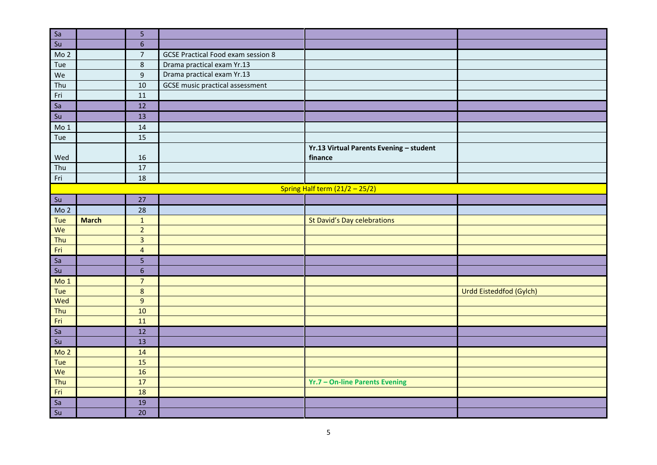|                                   |              | 5              |                                           |                                                    |                         |
|-----------------------------------|--------------|----------------|-------------------------------------------|----------------------------------------------------|-------------------------|
| $rac{Sa}{Su}$                     |              | $6\phantom{1}$ |                                           |                                                    |                         |
| Mo <sub>2</sub>                   |              | $\overline{7}$ | <b>GCSE Practical Food exam session 8</b> |                                                    |                         |
| Tue                               |              | $\,8\,$        | Drama practical exam Yr.13                |                                                    |                         |
| We                                |              | $\overline{9}$ | Drama practical exam Yr.13                |                                                    |                         |
| Thu                               |              | 10             | <b>GCSE</b> music practical assessment    |                                                    |                         |
| Fri                               |              | 11             |                                           |                                                    |                         |
|                                   |              | 12             |                                           |                                                    |                         |
| $rac{Sa}{Su}$                     |              | 13             |                                           |                                                    |                         |
| Mo <sub>1</sub>                   |              | 14             |                                           |                                                    |                         |
| Tue                               |              | 15             |                                           |                                                    |                         |
| Wed                               |              | 16             |                                           | Yr.13 Virtual Parents Evening - student<br>finance |                         |
| Thu                               |              | 17             |                                           |                                                    |                         |
| Fri                               |              | 18             |                                           |                                                    |                         |
|                                   |              |                |                                           | Spring Half term $(21/2 - 25/2)$                   |                         |
| Su                                |              | 27             |                                           |                                                    |                         |
| Mo <sub>2</sub>                   |              | 28             |                                           |                                                    |                         |
| Tue                               | <b>March</b> | $\mathbf 1$    |                                           | <b>St David's Day celebrations</b>                 |                         |
| We                                |              | $\overline{2}$ |                                           |                                                    |                         |
| Thu                               |              | $\overline{3}$ |                                           |                                                    |                         |
| Fri                               |              | $\overline{4}$ |                                           |                                                    |                         |
| Sa                                |              | $\overline{5}$ |                                           |                                                    |                         |
| Su                                |              | $\sqrt{6}$     |                                           |                                                    |                         |
| Mo <sub>1</sub>                   |              | $\overline{7}$ |                                           |                                                    |                         |
| Tue                               |              | $\bf 8$        |                                           |                                                    | Urdd Eisteddfod (Gylch) |
| Wed                               |              | $9\,$          |                                           |                                                    |                         |
| Thu                               |              | $10$           |                                           |                                                    |                         |
| Fri                               |              | 11             |                                           |                                                    |                         |
| Sa                                |              | 12             |                                           |                                                    |                         |
| $\overline{\mathsf{S}\mathsf{u}}$ |              | 13             |                                           |                                                    |                         |
| Mo <sub>2</sub>                   |              | 14             |                                           |                                                    |                         |
| Tue                               |              | 15             |                                           |                                                    |                         |
| We                                |              | 16             |                                           |                                                    |                         |
| Thu                               |              | 17             |                                           | Yr.7 - On-line Parents Evening                     |                         |
| Fri                               |              | 18             |                                           |                                                    |                         |
| $\overline{\phantom{a}}$<br>Sa    |              | 19             |                                           |                                                    |                         |
| Su                                |              | 20             |                                           |                                                    |                         |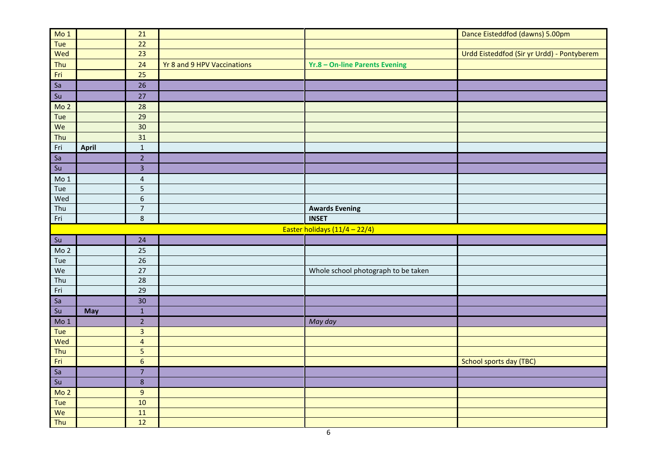| M <sub>0</sub> 1 |              | 21                      |                             |                                     | Dance Eisteddfod (dawns) 5.00pm            |
|------------------|--------------|-------------------------|-----------------------------|-------------------------------------|--------------------------------------------|
| Tue              |              | 22                      |                             |                                     |                                            |
| Wed              |              | 23                      |                             |                                     | Urdd Eisteddfod (Sir yr Urdd) - Pontyberem |
| Thu              |              | 24                      | Yr 8 and 9 HPV Vaccinations | Yr.8 - On-line Parents Evening      |                                            |
| Fri              |              | 25                      |                             |                                     |                                            |
| <b>Sa</b>        |              | 26                      |                             |                                     |                                            |
| Su               |              | 27                      |                             |                                     |                                            |
| Mo <sub>2</sub>  |              | 28                      |                             |                                     |                                            |
| Tue              |              | 29                      |                             |                                     |                                            |
| We               |              | 30                      |                             |                                     |                                            |
| Thu              |              | 31                      |                             |                                     |                                            |
| Fri              | <b>April</b> | $\mathbf 1$             |                             |                                     |                                            |
| <b>Sa</b>        |              | $\overline{2}$          |                             |                                     |                                            |
| Su               |              | $\overline{\mathbf{3}}$ |                             |                                     |                                            |
| Mo <sub>1</sub>  |              | $\overline{4}$          |                             |                                     |                                            |
| Tue              |              | 5                       |                             |                                     |                                            |
| Wed              |              | $6\phantom{a}$          |                             |                                     |                                            |
| Thu              |              | $\overline{7}$          |                             | <b>Awards Evening</b>               |                                            |
| Fri              |              | 8                       |                             | <b>INSET</b>                        |                                            |
|                  |              |                         |                             | Easter holidays (11/4 - 22/4)       |                                            |
| Su               |              | 24                      |                             |                                     |                                            |
| Mo <sub>2</sub>  |              | 25                      |                             |                                     |                                            |
| Tue              |              | 26                      |                             |                                     |                                            |
| We               |              | 27                      |                             | Whole school photograph to be taken |                                            |
| Thu              |              | 28                      |                             |                                     |                                            |
| Fri              |              | 29                      |                             |                                     |                                            |
| Sa               |              | 30                      |                             |                                     |                                            |
| Su               | May          | $\mathbf 1$             |                             |                                     |                                            |
| Mo <sub>1</sub>  |              | $\overline{2}$          |                             | May day                             |                                            |
| Tue              |              | $\overline{\mathbf{3}}$ |                             |                                     |                                            |
| Wed              |              | $\overline{4}$          |                             |                                     |                                            |
| Thu              |              | 5                       |                             |                                     |                                            |
| Fri              |              | $6\phantom{a}$          |                             |                                     | School sports day (TBC)                    |
| sa               |              | $\overline{7}$          |                             |                                     |                                            |
| Su               |              | $\bf 8$                 |                             |                                     |                                            |
| Mo <sub>2</sub>  |              | $9\,$                   |                             |                                     |                                            |
| Tue              |              | 10                      |                             |                                     |                                            |
| We               |              | 11                      |                             |                                     |                                            |
| Thu              |              | 12                      |                             |                                     |                                            |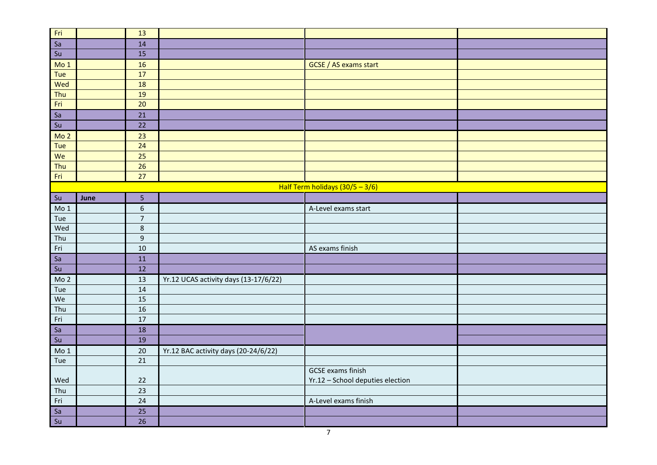|                         |      | 13               |                                       |                                                              |  |
|-------------------------|------|------------------|---------------------------------------|--------------------------------------------------------------|--|
|                         |      | 14               |                                       |                                                              |  |
|                         |      | $\overline{15}$  |                                       |                                                              |  |
| Fri<br>Sa<br>Su<br>Mo 1 |      | 16               |                                       | GCSE / AS exams start                                        |  |
| Tue                     |      | $\overline{17}$  |                                       |                                                              |  |
| Wed                     |      | 18               |                                       |                                                              |  |
| Thu                     |      | 19               |                                       |                                                              |  |
| Fri                     |      | 20               |                                       |                                                              |  |
| sa                      |      | 21               |                                       |                                                              |  |
| Su                      |      | 22               |                                       |                                                              |  |
| Mo <sub>2</sub>         |      | 23               |                                       |                                                              |  |
| Tue                     |      | 24               |                                       |                                                              |  |
| We                      |      | 25               |                                       |                                                              |  |
| Thu                     |      | 26               |                                       |                                                              |  |
| Fri                     |      | 27               |                                       |                                                              |  |
|                         |      |                  |                                       | Half Term holidays (30/5 - 3/6)                              |  |
| $\vert$ Su              | June | 5                |                                       |                                                              |  |
| Mo <sub>1</sub>         |      | $6\phantom{.}$   |                                       | A-Level exams start                                          |  |
| Tue                     |      | $\overline{7}$   |                                       |                                                              |  |
| Wed                     |      | $\bf 8$          |                                       |                                                              |  |
| Thu                     |      | $\boldsymbol{9}$ |                                       |                                                              |  |
| Fri                     |      | $10\,$           |                                       | AS exams finish                                              |  |
| Sa                      |      | 11               |                                       |                                                              |  |
| Su                      |      | 12               |                                       |                                                              |  |
| Mo <sub>2</sub>         |      | 13               | Yr.12 UCAS activity days (13-17/6/22) |                                                              |  |
| Tue                     |      | 14               |                                       |                                                              |  |
| We                      |      | 15               |                                       |                                                              |  |
| Thu                     |      | 16               |                                       |                                                              |  |
| Fri                     |      | 17               |                                       |                                                              |  |
| Sa                      |      | 18               |                                       |                                                              |  |
| $\boxed{\mathsf{su}}$   |      | 19               |                                       |                                                              |  |
| Mo 1                    |      | $20\,$           | Yr.12 BAC activity days (20-24/6/22)  |                                                              |  |
| Tue                     |      | $\overline{21}$  |                                       |                                                              |  |
| Wed                     |      | 22               |                                       | <b>GCSE</b> exams finish<br>Yr.12 - School deputies election |  |
| Thu                     |      | 23               |                                       |                                                              |  |
| Fri                     |      | $\overline{24}$  |                                       | A-Level exams finish                                         |  |
| $rac{Sa}{Su}$           |      | 25               |                                       |                                                              |  |
|                         |      | $\overline{26}$  |                                       |                                                              |  |